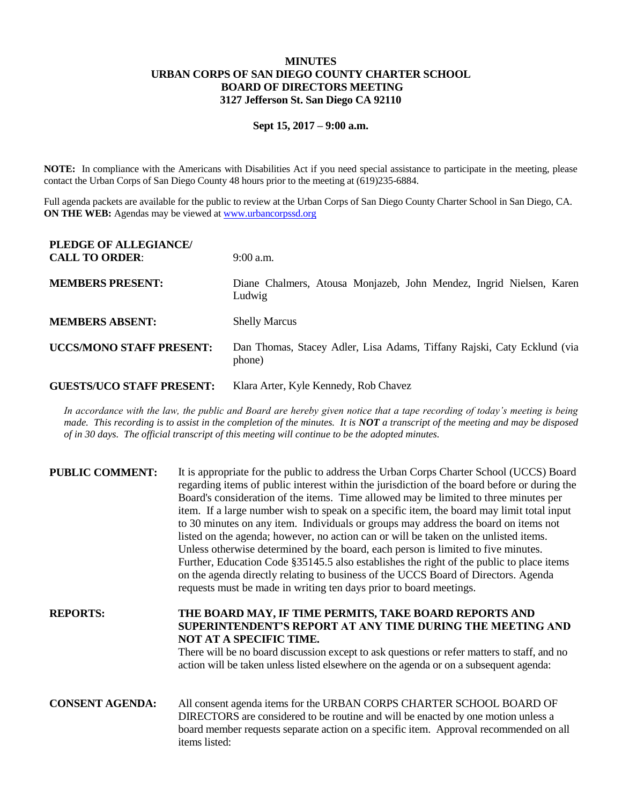## **MINUTES URBAN CORPS OF SAN DIEGO COUNTY CHARTER SCHOOL BOARD OF DIRECTORS MEETING 3127 Jefferson St. San Diego CA 92110**

### **Sept 15, 2017 – 9:00 a.m.**

**NOTE:** In compliance with the Americans with Disabilities Act if you need special assistance to participate in the meeting, please contact the Urban Corps of San Diego County 48 hours prior to the meeting at (619)235-6884.

Full agenda packets are available for the public to review at the Urban Corps of San Diego County Charter School in San Diego, CA. **ON THE WEB:** Agendas may be viewed at [www.urbancorpssd.org](http://www.urbancorpssd.org/)

| PLEDGE OF ALLEGIANCE/<br><b>CALL TO ORDER:</b> | $9:00$ a.m.                                                                       |
|------------------------------------------------|-----------------------------------------------------------------------------------|
| <b>MEMBERS PRESENT:</b>                        | Diane Chalmers, Atousa Monjazeb, John Mendez, Ingrid Nielsen, Karen<br>Ludwig     |
| <b>MEMBERS ABSENT:</b>                         | <b>Shelly Marcus</b>                                                              |
| <b>UCCS/MONO STAFF PRESENT:</b>                | Dan Thomas, Stacey Adler, Lisa Adams, Tiffany Rajski, Caty Ecklund (via<br>phone) |
| <b>GUESTS/UCO STAFF PRESENT:</b>               | Klara Arter, Kyle Kennedy, Rob Chavez                                             |

*In accordance with the law, the public and Board are hereby given notice that a tape recording of today's meeting is being made. This recording is to assist in the completion of the minutes. It is NOT a transcript of the meeting and may be disposed of in 30 days. The official transcript of this meeting will continue to be the adopted minutes.*

| <b>PUBLIC COMMENT:</b> | It is appropriate for the public to address the Urban Corps Charter School (UCCS) Board<br>regarding items of public interest within the jurisdiction of the board before or during the<br>Board's consideration of the items. Time allowed may be limited to three minutes per<br>item. If a large number wish to speak on a specific item, the board may limit total input<br>to 30 minutes on any item. Individuals or groups may address the board on items not<br>listed on the agenda; however, no action can or will be taken on the unlisted items.<br>Unless otherwise determined by the board, each person is limited to five minutes.<br>Further, Education Code §35145.5 also establishes the right of the public to place items<br>on the agenda directly relating to business of the UCCS Board of Directors. Agenda<br>requests must be made in writing ten days prior to board meetings. |
|------------------------|----------------------------------------------------------------------------------------------------------------------------------------------------------------------------------------------------------------------------------------------------------------------------------------------------------------------------------------------------------------------------------------------------------------------------------------------------------------------------------------------------------------------------------------------------------------------------------------------------------------------------------------------------------------------------------------------------------------------------------------------------------------------------------------------------------------------------------------------------------------------------------------------------------|
| <b>REPORTS:</b>        | THE BOARD MAY, IF TIME PERMITS, TAKE BOARD REPORTS AND<br>SUPERINTENDENT'S REPORT AT ANY TIME DURING THE MEETING AND<br>NOT AT A SPECIFIC TIME.<br>There will be no board discussion except to ask questions or refer matters to staff, and no<br>action will be taken unless listed elsewhere on the agenda or on a subsequent agenda:                                                                                                                                                                                                                                                                                                                                                                                                                                                                                                                                                                  |
| <b>CONSENT AGENDA:</b> | All consent agenda items for the URBAN CORPS CHARTER SCHOOL BOARD OF<br>DIRECTORS are considered to be routine and will be enacted by one motion unless a<br>board member requests separate action on a specific item. Approval recommended on all<br>items listed:                                                                                                                                                                                                                                                                                                                                                                                                                                                                                                                                                                                                                                      |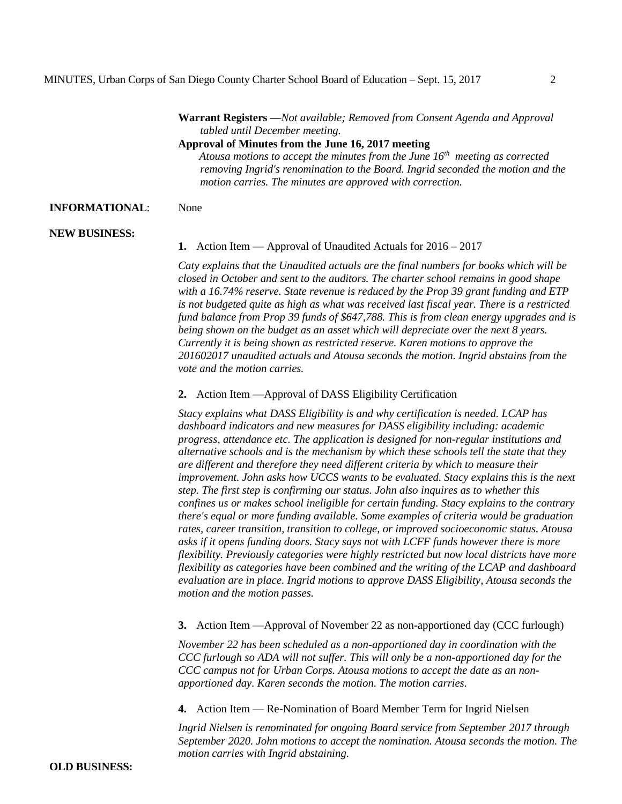**Warrant Registers —***Not available; Removed from Consent Agenda and Approval tabled until December meeting.*

**Approval of Minutes from the June 16, 2017 meeting**

*Atousa motions to accept the minutes from the June 16th meeting as corrected removing Ingrid's renomination to the Board. Ingrid seconded the motion and the motion carries. The minutes are approved with correction.*

### **INFORMATIONAL**: None

### **NEW BUSINESS:**

**1.** Action Item — Approval of Unaudited Actuals for 2016 – 2017

*Caty explains that the Unaudited actuals are the final numbers for books which will be closed in October and sent to the auditors. The charter school remains in good shape with a 16.74% reserve. State revenue is reduced by the Prop 39 grant funding and ETP is not budgeted quite as high as what was received last fiscal year. There is a restricted fund balance from Prop 39 funds of \$647,788. This is from clean energy upgrades and is being shown on the budget as an asset which will depreciate over the next 8 years. Currently it is being shown as restricted reserve. Karen motions to approve the 201602017 unaudited actuals and Atousa seconds the motion. Ingrid abstains from the vote and the motion carries.*

**2.** Action Item —Approval of DASS Eligibility Certification

*Stacy explains what DASS Eligibility is and why certification is needed. LCAP has dashboard indicators and new measures for DASS eligibility including: academic progress, attendance etc. The application is designed for non-regular institutions and alternative schools and is the mechanism by which these schools tell the state that they are different and therefore they need different criteria by which to measure their improvement. John asks how UCCS wants to be evaluated. Stacy explains this is the next step. The first step is confirming our status. John also inquires as to whether this confines us or makes school ineligible for certain funding. Stacy explains to the contrary there's equal or more funding available. Some examples of criteria would be graduation rates, career transition, transition to college, or improved socioeconomic status. Atousa asks if it opens funding doors. Stacy says not with LCFF funds however there is more flexibility. Previously categories were highly restricted but now local districts have more flexibility as categories have been combined and the writing of the LCAP and dashboard evaluation are in place. Ingrid motions to approve DASS Eligibility, Atousa seconds the motion and the motion passes.*

**3.** Action Item —Approval of November 22 as non-apportioned day (CCC furlough)

*November 22 has been scheduled as a non-apportioned day in coordination with the CCC furlough so ADA will not suffer. This will only be a non-apportioned day for the CCC campus not for Urban Corps. Atousa motions to accept the date as an nonapportioned day. Karen seconds the motion. The motion carries.*

**4.** Action Item — Re-Nomination of Board Member Term for Ingrid Nielsen

*Ingrid Nielsen is renominated for ongoing Board service from September 2017 through September 2020. John motions to accept the nomination. Atousa seconds the motion. The motion carries with Ingrid abstaining.*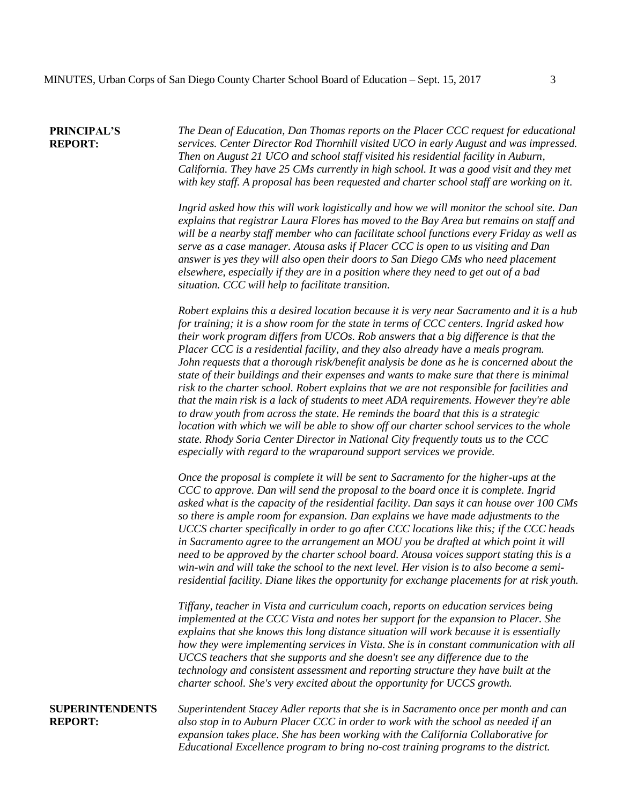#### **PRINCIPAL'S REPORT:**

*The Dean of Education, Dan Thomas reports on the Placer CCC request for educational services. Center Director Rod Thornhill visited UCO in early August and was impressed. Then on August 21 UCO and school staff visited his residential facility in Auburn, California. They have 25 CMs currently in high school. It was a good visit and they met with key staff. A proposal has been requested and charter school staff are working on it.* 

*Ingrid asked how this will work logistically and how we will monitor the school site. Dan explains that registrar Laura Flores has moved to the Bay Area but remains on staff and will be a nearby staff member who can facilitate school functions every Friday as well as serve as a case manager. Atousa asks if Placer CCC is open to us visiting and Dan answer is yes they will also open their doors to San Diego CMs who need placement elsewhere, especially if they are in a position where they need to get out of a bad situation. CCC will help to facilitate transition.*

*Robert explains this a desired location because it is very near Sacramento and it is a hub for training; it is a show room for the state in terms of CCC centers. Ingrid asked how their work program differs from UCOs. Rob answers that a big difference is that the Placer CCC is a residential facility, and they also already have a meals program. John requests that a thorough risk/benefit analysis be done as he is concerned about the state of their buildings and their expenses and wants to make sure that there is minimal risk to the charter school. Robert explains that we are not responsible for facilities and that the main risk is a lack of students to meet ADA requirements. However they're able to draw youth from across the state. He reminds the board that this is a strategic location with which we will be able to show off our charter school services to the whole state. Rhody Soria Center Director in National City frequently touts us to the CCC especially with regard to the wraparound support services we provide.* 

*Once the proposal is complete it will be sent to Sacramento for the higher-ups at the CCC to approve. Dan will send the proposal to the board once it is complete. Ingrid asked what is the capacity of the residential facility. Dan says it can house over 100 CMs so there is ample room for expansion. Dan explains we have made adjustments to the UCCS charter specifically in order to go after CCC locations like this; if the CCC heads in Sacramento agree to the arrangement an MOU you be drafted at which point it will need to be approved by the charter school board. Atousa voices support stating this is a win-win and will take the school to the next level. Her vision is to also become a semiresidential facility. Diane likes the opportunity for exchange placements for at risk youth.*

*Tiffany, teacher in Vista and curriculum coach, reports on education services being implemented at the CCC Vista and notes her support for the expansion to Placer. She explains that she knows this long distance situation will work because it is essentially how they were implementing services in Vista. She is in constant communication with all UCCS teachers that she supports and she doesn't see any difference due to the technology and consistent assessment and reporting structure they have built at the charter school. She's very excited about the opportunity for UCCS growth.*

# **SUPERINTENDENTS REPORT:**

*Superintendent Stacey Adler reports that she is in Sacramento once per month and can also stop in to Auburn Placer CCC in order to work with the school as needed if an expansion takes place. She has been working with the California Collaborative for Educational Excellence program to bring no-cost training programs to the district.*